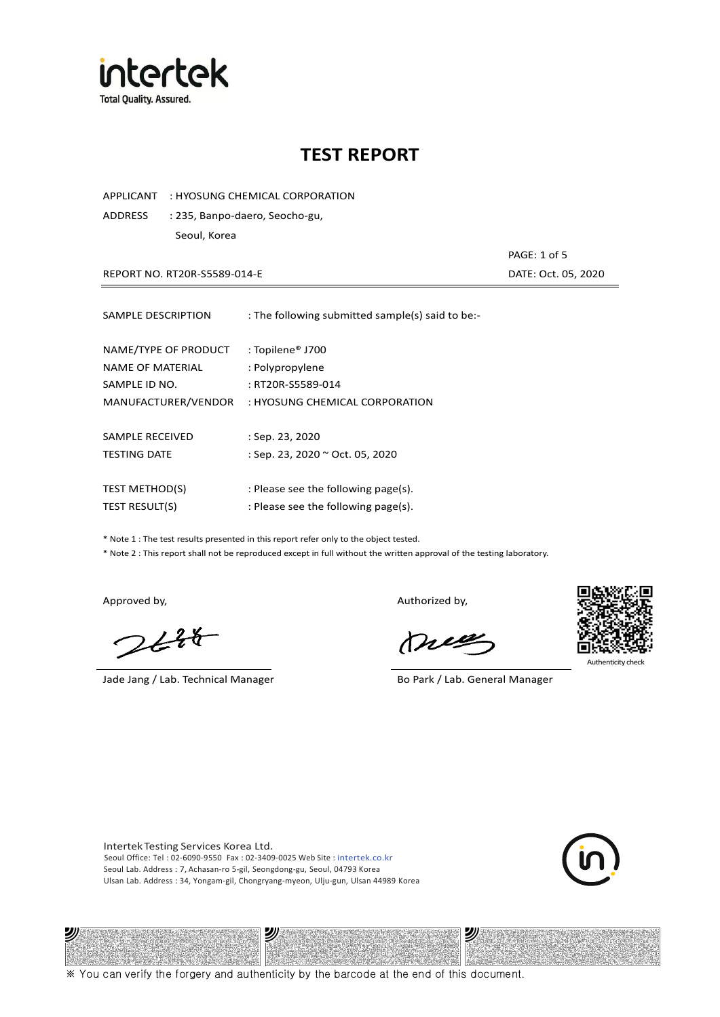

APPLICANT : HYOSUNG CHEMICAL CORPORATION

ADDRESS : 235, Banpo-daero, Seocho-gu, Seoul, Korea

REPORT NO. RT20R-S5589-014-E DATE: Oct. 05, 2020

PAGE: 1 of 5

| SAMPLE DESCRIPTION                       | : The following submitted sample(s) said to be:-    |
|------------------------------------------|-----------------------------------------------------|
| NAME/TYPE OF PRODUCT<br>NAME OF MATERIAL | : Topilene <sup>®</sup> J700<br>: Polypropylene     |
| SAMPLE ID NO.<br>MANUFACTURER/VENDOR     | : RT20R-S5589-014<br>: HYOSUNG CHEMICAL CORPORATION |
| SAMPLE RECEIVED                          |                                                     |
| <b>TESTING DATE</b>                      | : Sep. 23, 2020<br>: Sep. 23, 2020 ~ Oct. 05, 2020  |
| <b>TEST METHOD(S)</b>                    | : Please see the following page(s).                 |
| <b>TEST RESULT(S)</b>                    | : Please see the following page(s).                 |

\* Note 1 : The test results presented in this report refer only to the object tested.

\* Note 2 : This report shall not be reproduced except in full without the written approval of the testing laboratory.

ツル

 $2648$ 

Jade Jang / Lab. Technical Manager Bo Park / Lab. General Manager

Approved by, and the control of the control of the Authorized by,

Mie



Authenticity check

沙

Intertek Testing Services Korea Ltd. Seoul Office: Tel : 02-6090-9550 Fax : 02-3409-0025 Web Site : intertek.co.kr Seoul Lab. Address : 7, Achasan-ro 5-gil, Seongdong-gu, Seoul, 04793 Korea Ulsan Lab. Address : 34, Yongam-gil, Chongryang-myeon, Ulju-gun, Ulsan 44989 Korea

沙

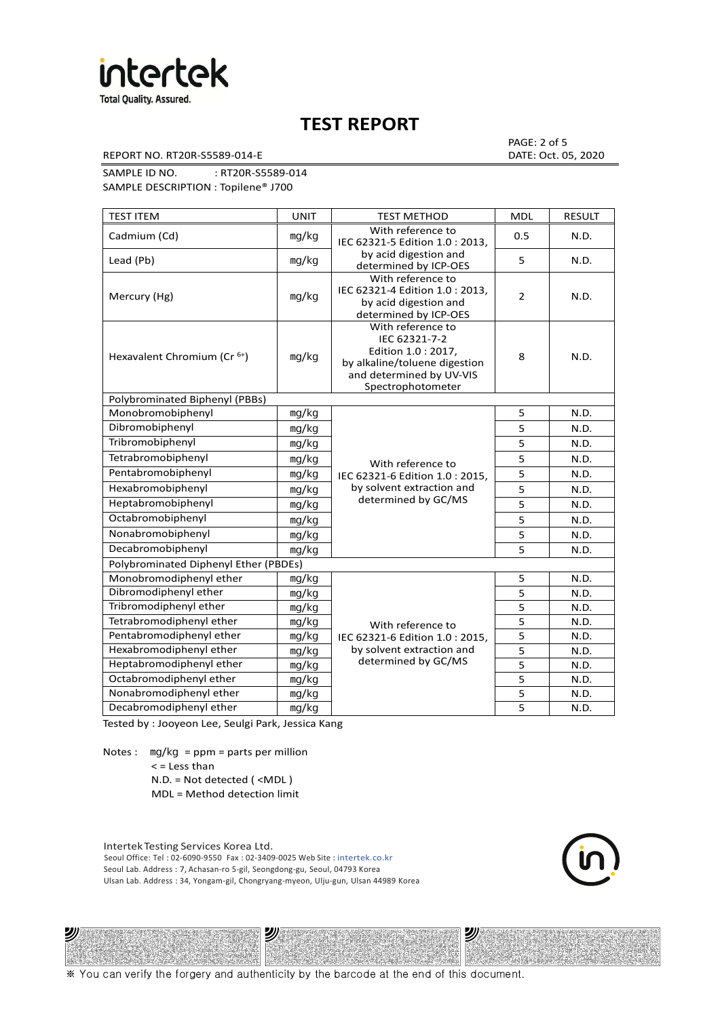

REPORT NO. RT20R-S5589-014-E DATE: Oct. 05, 2020

PAGE: 2 of 5

SAMPLE ID NO. : RT20R-S5589-014 SAMPLE DESCRIPTION : Topilene® J700

TEST ITEM TEST IN TEST METHOD NOLL RESULT Cadmium (Cd) ㎎/㎏ With reference to IEC 62321-5 Edition 1.0 : 2013, by acid digestion and determined by ICP-OES 0.5 N.D. Lead (Pb)  $\log/kg$   $\log kg$  and digestion and  $\log k$  superiority of  $\log k$  or  $\log k$  5  $\log k$  N.D. Mercury (Hg) ㎎/㎏ With reference to IEC 62321-4 Edition 1.0 : 2013, by acid digestion and determined by ICP-OES 2 N.D. Hexavalent Chromium (Cr<sup>6+</sup>) | mg/kg With reference to IEC 62321-7-2 Edition 1.0 : 2017, by alkaline/toluene digestion and determined by UV-VIS Spectrophotometer 8 N.D. Polybrominated Biphenyl (PBBs) Monobromobiphenyl ng/kg With reference to Pentabromobiphenyl mg/kg IEC 62321-6 Edition 1.0 : 2015, 5 N.D. Hexabromobiphenyl | <sub>mg/kg</sub> | by solvent extraction and | 5 | N.D. determined by GC/MS 5 N.D. Dibromobiphenyl ㎎/㎏ 5 N.D. Tribromobiphenyl and ma/kg 5 N.D. Tetrabromobiphenyl mg/kg N/ith reference to 5 N.D. Heptabromobiphenyl  $\log kq$  determined by GC/MS  $\vert$  5 N.D. Octabromobiphenyl ng/kg 5 N.D. Nonabromobiphenyl mg/kg 5 N.D. Decabromobiphenyl ng/kg 5 N.D. Polybrominated Diphenyl Ether (PBDEs) Monobromodiphenyl ether ng/kg With reference to Pentabromodiphenyl ether  $\parallel$  mg/kg  $\parallel$  IEC 62321-6 Edition 1.0 : 2015,  $\parallel$  5 N.D. by solvent extraction and determined by GC/MS 5 N.D. Dibromodiphenyl ether mg/kg<br>Tribromodiphenyl ether mg/kg<br>5 N.D. Tribromodiphenyl ether and ma/kg b and the state of the state of the state of the state of the state of the state of the state of the state of the state of the state of the state of the state of the state of the state of t Tetrabromodiphenyl ether | mg/kg With reference to 5 | N.D. Hexabromodiphenyl ether  $\vert$  mg/kg  $\vert$  by solvent extraction and  $\vert$  5 N.D. Heptabromodiphenyl ether ㎎/㎏ 5 N.D. Octabromodiphenyl ether ng/kg 1 mg/kg 5 N.D. Nonabromodiphenyl ether | mg/kg | 1999 5 N.D. Decabromodiphenyl ether  $\vert$  mg/kg  $\vert$  5 N.D.

Tested by : Jooyeon Lee, Seulgi Park, Jessica Kang

Notes : mg/kg = ppm = parts per million < = Less than

沙

N.D. = Not detected ( <MDL )

MDL = Method detection limit

Intertek Testing Services Korea Ltd. Seoul Office: Tel : 02-6090-9550 Fax : 02-3409-0025 Web Site : intertek.co.kr Seoul Lab. Address : 7, Achasan-ro 5-gil, Seongdong-gu, Seoul, 04793 Korea Ulsan Lab. Address : 34, Yongam-gil, Chongryang-myeon, Ulju-gun, Ulsan 44989 Korea

עי

沙

※ You can verify the forgery and authenticity by the barcode at the end of this document.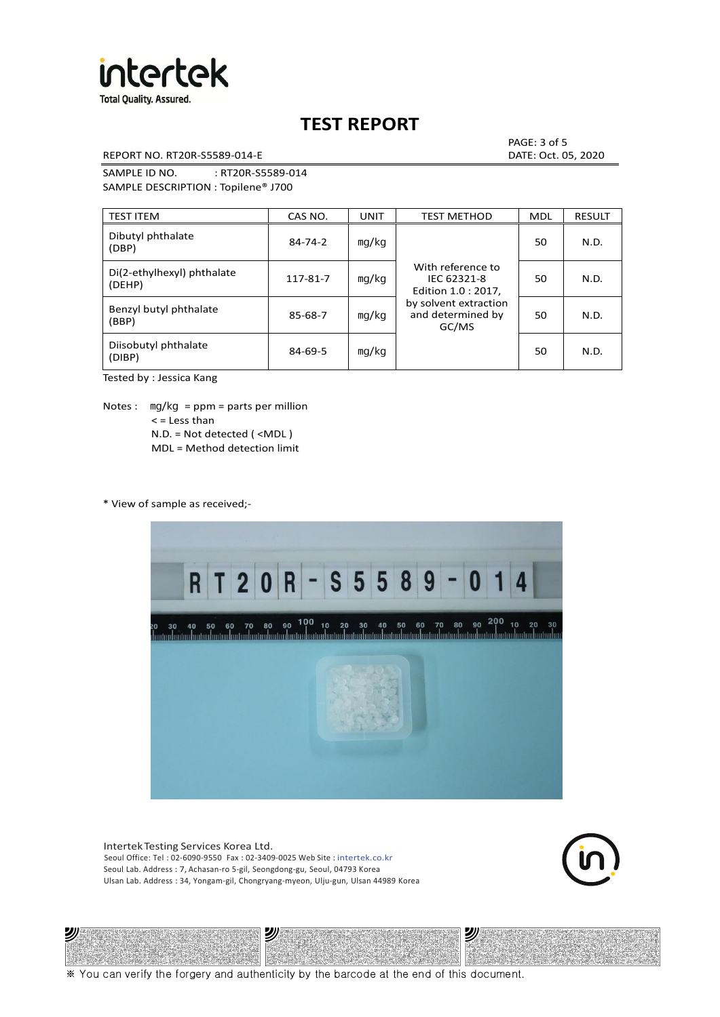

REPORT NO. RT20R-S5589-014-E DATE: Oct. 05, 2020

PAGE: 3 of 5

SAMPLE ID NO. : RT20R-S5589-014 SAMPLE DESCRIPTION : Topilene® J700

| <b>TEST ITEM</b>                     | CAS NO.       | <b>UNIT</b> | <b>TEST METHOD</b>                                      | <b>MDL</b> | <b>RESULT</b> |
|--------------------------------------|---------------|-------------|---------------------------------------------------------|------------|---------------|
| Dibutyl phthalate<br>(DBP)           | 84-74-2       | mg/kg       | With reference to<br>IEC 62321-8<br>Edition 1.0 : 2017, | 50         | N.D.          |
| Di(2-ethylhexyl) phthalate<br>(DEHP) | 117-81-7      | mg/kg       |                                                         | 50         | N.D.          |
| Benzyl butyl phthalate<br>(BBP)      | 85-68-7       | mg/kg       | by solvent extraction<br>and determined by<br>GC/MS     | 50         | N.D.          |
| Diisobutyl phthalate<br>(DIBP)       | $84 - 69 - 5$ | mg/kg       |                                                         | 50         | N.D.          |

Tested by : Jessica Kang

Notes :  $mq/kg = ppm = parts per million$  $<$  = Less than N.D. = Not detected ( <MDL ) MDL = Method detection limit

\* View of sample as received;-



Intertek Testing Services Korea Ltd. Seoul Office: Tel : 02-6090-9550 Fax : 02-3409-0025 Web Site : intertek.co.kr Seoul Lab. Address : 7, Achasan-ro 5-gil, Seongdong-gu, Seoul, 04793 Korea Ulsan Lab. Address : 34, Yongam-gil, Chongryang-myeon, Ulju-gun, Ulsan 44989 Korea

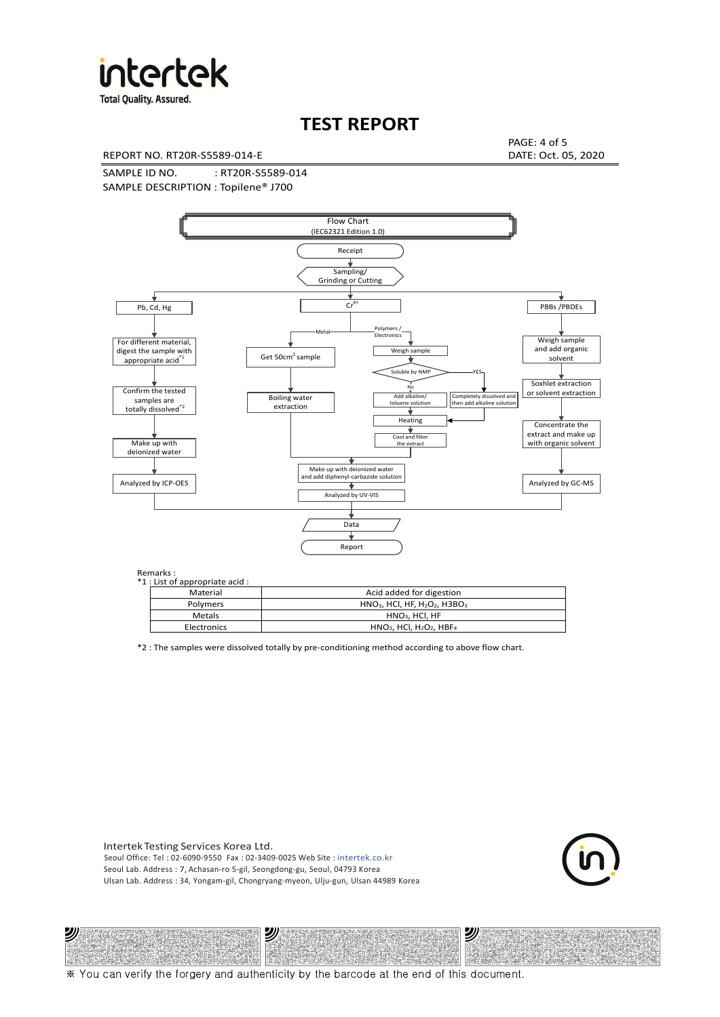

**Total Quality. Assured.** 

# **TEST REPORT**

REPORT NO. RT20R-S5589-014-E DATE: Oct. 05, 2020

PAGE: 4 of 5

SAMPLE ID NO. : RT20R-S5589-014 SAMPLE DESCRIPTION : Topilene® J700



| *1 : List of appropriate acid : |                                                                     |  |  |  |  |
|---------------------------------|---------------------------------------------------------------------|--|--|--|--|
| Material                        | Acid added for digestion                                            |  |  |  |  |
| <b>Polymers</b>                 | $HNO3$ , HCl, HF, H <sub>2</sub> O <sub>2</sub> , H3BO <sub>3</sub> |  |  |  |  |
| Metals                          | $HNO3$ , HCl, HF                                                    |  |  |  |  |
| Electronics                     | $HNO3$ , HCl, H <sub>2</sub> O <sub>2</sub> , HBF <sub>4</sub>      |  |  |  |  |

\*2 : The samples were dissolved totally by pre-conditioning method according to above flow chart.

Intertek Testing Services Korea Ltd. Seoul Office: Tel : 02-6090-9550 Fax : 02-3409-0025 Web Site : intertek.co.kr Seoul Lab. Address : 7, Achasan-ro 5-gil, Seongdong-gu, Seoul, 04793 Korea Ulsan Lab. Address : 34, Yongam-gil, Chongryang-myeon, Ulju-gun, Ulsan 44989 Korea

沙

沙



沙